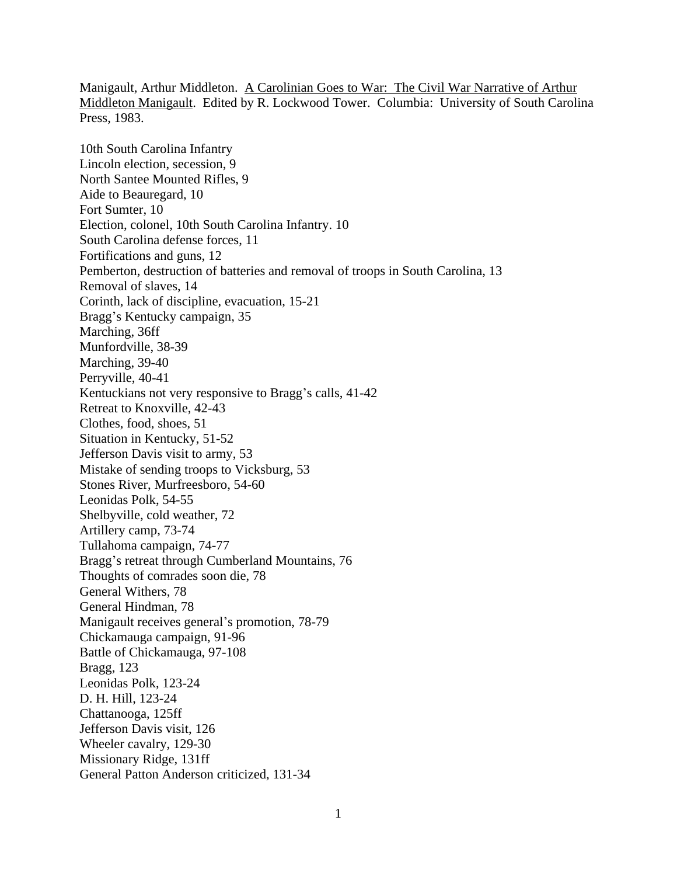Manigault, Arthur Middleton. A Carolinian Goes to War: The Civil War Narrative of Arthur Middleton Manigault. Edited by R. Lockwood Tower. Columbia: University of South Carolina Press, 1983.

10th South Carolina Infantry Lincoln election, secession, 9 North Santee Mounted Rifles, 9 Aide to Beauregard, 10 Fort Sumter, 10 Election, colonel, 10th South Carolina Infantry. 10 South Carolina defense forces, 11 Fortifications and guns, 12 Pemberton, destruction of batteries and removal of troops in South Carolina, 13 Removal of slaves, 14 Corinth, lack of discipline, evacuation, 15-21 Bragg's Kentucky campaign, 35 Marching, 36ff Munfordville, 38-39 Marching, 39-40 Perryville, 40-41 Kentuckians not very responsive to Bragg's calls, 41-42 Retreat to Knoxville, 42-43 Clothes, food, shoes, 51 Situation in Kentucky, 51-52 Jefferson Davis visit to army, 53 Mistake of sending troops to Vicksburg, 53 Stones River, Murfreesboro, 54-60 Leonidas Polk, 54-55 Shelbyville, cold weather, 72 Artillery camp, 73-74 Tullahoma campaign, 74-77 Bragg's retreat through Cumberland Mountains, 76 Thoughts of comrades soon die, 78 General Withers, 78 General Hindman, 78 Manigault receives general's promotion, 78-79 Chickamauga campaign, 91-96 Battle of Chickamauga, 97-108 Bragg, 123 Leonidas Polk, 123-24 D. H. Hill, 123-24 Chattanooga, 125ff Jefferson Davis visit, 126 Wheeler cavalry, 129-30 Missionary Ridge, 131ff General Patton Anderson criticized, 131-34